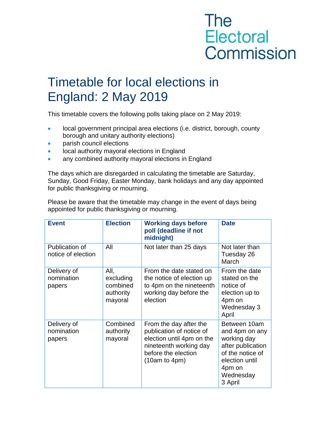## **The** Electoral Commission

## Timetable for local elections in England: 2 May 2019

This timetable covers the following polls taking place on 2 May 2019:

- **IDCAL GOVERTY ARRY EXAMPLE AT A LOCAL GOVERT** FINCIPAL area elections (i.e. district, borough, county borough and unitary authority elections)
- parish council elections
- local authority mayoral elections in England
- any combined authority mayoral elections in England

The days which are disregarded in calculating the timetable are Saturday, Sunday, Good Friday, Easter Monday, bank holidays and any day appointed for public thanksgiving or mourning.

Please be aware that the timetable may change in the event of days being appointed for public thanksgiving or mourning.

| <b>Event</b>                         | <b>Election</b>                                       | <b>Working days before</b><br>poll (deadline if not<br>midnight)                                                                                  | <b>Date</b>                                                                                                                                |
|--------------------------------------|-------------------------------------------------------|---------------------------------------------------------------------------------------------------------------------------------------------------|--------------------------------------------------------------------------------------------------------------------------------------------|
| Publication of<br>notice of election | All                                                   | Not later than 25 days                                                                                                                            | Not later than<br>Tuesday 26<br>March                                                                                                      |
| Delivery of<br>nomination<br>papers  | All,<br>excluding<br>combined<br>authority<br>mayoral | From the date stated on<br>the notice of election up<br>to 4pm on the nineteenth<br>working day before the<br>election                            | From the date<br>stated on the<br>notice of<br>election up to<br>4pm on<br>Wednesday 3<br>April                                            |
| Delivery of<br>nomination<br>papers  | Combined<br>authority<br>mayoral                      | From the day after the<br>publication of notice of<br>election until 4pm on the<br>nineteenth working day<br>before the election<br>(10am to 4pm) | Between 10am<br>and 4pm on any<br>working day<br>after publication<br>of the notice of<br>election until<br>4pm on<br>Wednesday<br>3 April |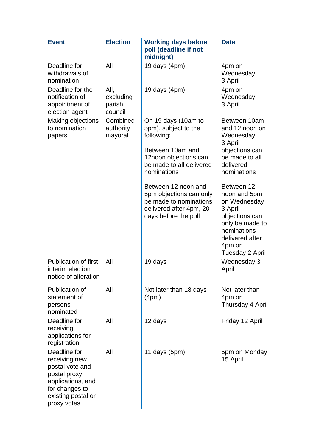| <b>Event</b>                                                                                                                                 | <b>Election</b>                        | <b>Working days before</b><br>poll (deadline if not<br>midnight)                                                                                                                                                                                                                 | <b>Date</b>                                                                                                                                                                                                                                                                         |
|----------------------------------------------------------------------------------------------------------------------------------------------|----------------------------------------|----------------------------------------------------------------------------------------------------------------------------------------------------------------------------------------------------------------------------------------------------------------------------------|-------------------------------------------------------------------------------------------------------------------------------------------------------------------------------------------------------------------------------------------------------------------------------------|
| Deadline for<br>withdrawals of<br>nomination                                                                                                 | All                                    | 19 days $(4pm)$                                                                                                                                                                                                                                                                  | 4pm on<br>Wednesday<br>3 April                                                                                                                                                                                                                                                      |
| Deadline for the<br>notification of<br>appointment of<br>election agent                                                                      | All,<br>excluding<br>parish<br>council | 19 days $(4pm)$                                                                                                                                                                                                                                                                  | 4pm on<br>Wednesday<br>3 April                                                                                                                                                                                                                                                      |
| Making objections<br>to nomination<br>papers                                                                                                 | Combined<br>authority<br>mayoral       | On 19 days (10am to<br>5pm), subject to the<br>following:<br>Between 10am and<br>12noon objections can<br>be made to all delivered<br>nominations<br>Between 12 noon and<br>5pm objections can only<br>be made to nominations<br>delivered after 4pm, 20<br>days before the poll | Between 10am<br>and 12 noon on<br>Wednesday<br>3 April<br>objections can<br>be made to all<br>delivered<br>nominations<br>Between 12<br>noon and 5pm<br>on Wednesday<br>3 April<br>objections can<br>only be made to<br>nominations<br>delivered after<br>4pm on<br>Tuesday 2 April |
| <b>Publication of first</b><br>interim election<br>notice of alteration                                                                      | All                                    | 19 days                                                                                                                                                                                                                                                                          | Wednesday 3<br>April                                                                                                                                                                                                                                                                |
| Publication of<br>statement of<br>persons<br>nominated                                                                                       | All                                    | Not later than 18 days<br>(4pm)                                                                                                                                                                                                                                                  | Not later than<br>4pm on<br>Thursday 4 April                                                                                                                                                                                                                                        |
| Deadline for<br>receiving<br>applications for<br>registration                                                                                | All                                    | 12 days                                                                                                                                                                                                                                                                          | Friday 12 April                                                                                                                                                                                                                                                                     |
| Deadline for<br>receiving new<br>postal vote and<br>postal proxy<br>applications, and<br>for changes to<br>existing postal or<br>proxy votes | All                                    | 11 days $(5pm)$                                                                                                                                                                                                                                                                  | 5pm on Monday<br>15 April                                                                                                                                                                                                                                                           |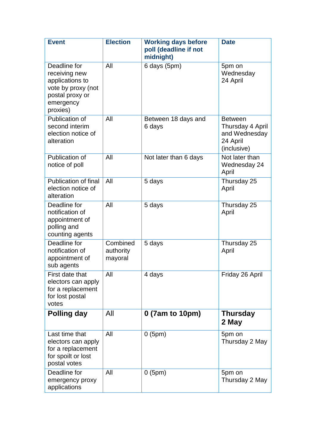| <b>Event</b>                                                                                                       | <b>Election</b>                  | <b>Working days before</b><br>poll (deadline if not<br>midnight) | <b>Date</b>                                                                    |
|--------------------------------------------------------------------------------------------------------------------|----------------------------------|------------------------------------------------------------------|--------------------------------------------------------------------------------|
| Deadline for<br>receiving new<br>applications to<br>vote by proxy (not<br>postal proxy or<br>emergency<br>proxies) | All                              | 6 days (5pm)                                                     | 5pm on<br>Wednesday<br>24 April                                                |
| Publication of<br>second interim<br>election notice of<br>alteration                                               | All                              | Between 18 days and<br>6 days                                    | <b>Between</b><br>Thursday 4 April<br>and Wednesday<br>24 April<br>(inclusive) |
| Publication of<br>notice of poll                                                                                   | All                              | Not later than 6 days                                            | Not later than<br>Wednesday 24<br>April                                        |
| <b>Publication of final</b><br>election notice of<br>alteration                                                    | All                              | 5 days                                                           | Thursday 25<br>April                                                           |
| Deadline for<br>notification of<br>appointment of<br>polling and<br>counting agents                                | All                              | 5 days                                                           | Thursday 25<br>April                                                           |
| Deadline for<br>notification of<br>appointment of<br>sub agents                                                    | Combined<br>authority<br>mayoral | 5 days                                                           | Thursday 25<br>April                                                           |
| First date that<br>electors can apply<br>for a replacement<br>for lost postal<br>votes                             | All                              | 4 days                                                           | Friday 26 April                                                                |
| <b>Polling day</b>                                                                                                 | All                              | 0 (7am to 10pm)                                                  | <b>Thursday</b><br>2 May                                                       |
| Last time that<br>electors can apply<br>for a replacement<br>for spoilt or lost<br>postal votes                    | All                              | 0(5pm)                                                           | 5pm on<br>Thursday 2 May                                                       |
| Deadline for<br>emergency proxy<br>applications                                                                    | All                              | 0(5pm)                                                           | 5pm on<br>Thursday 2 May                                                       |